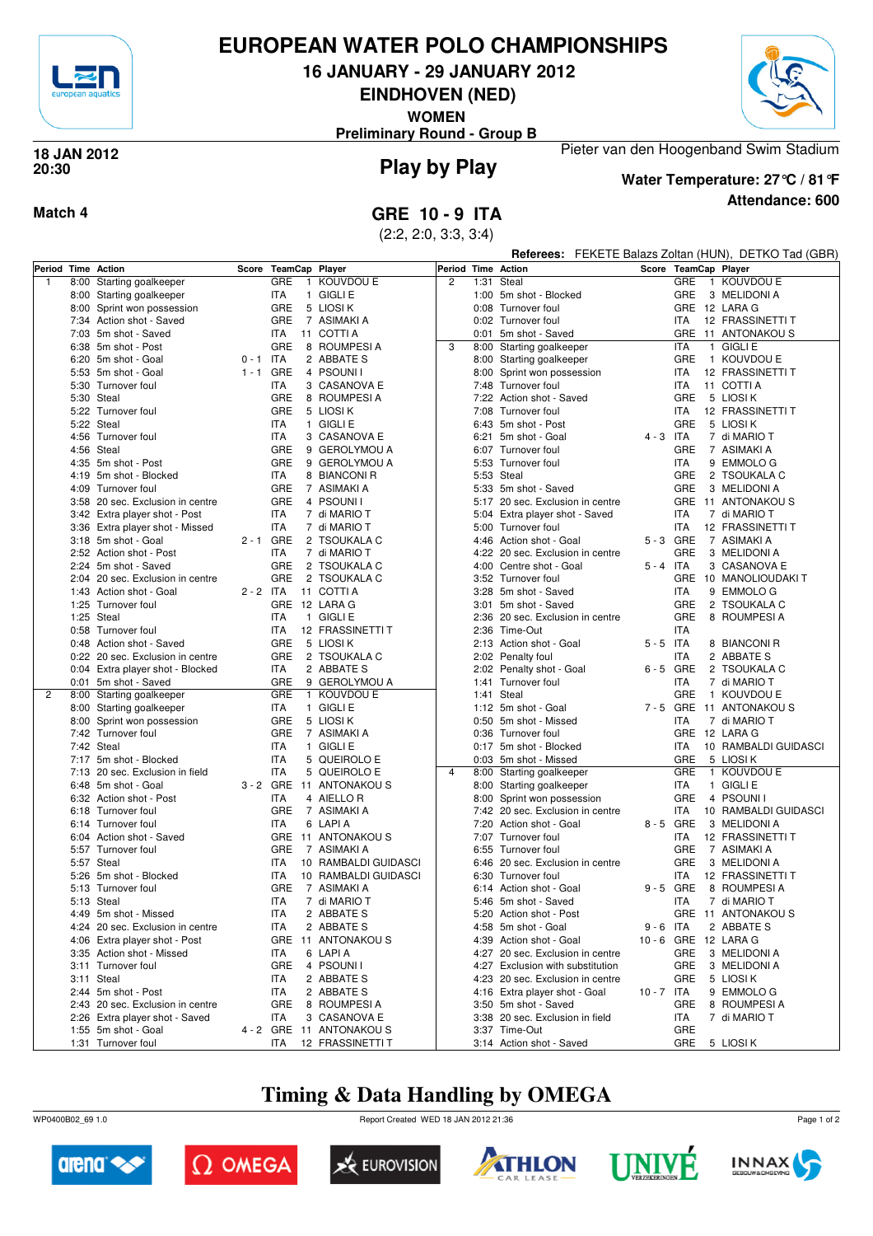

### **EUROPEAN WATER POLO CHAMPIONSHIPS**

**16 JANUARY - 29 JANUARY 2012**

**EINDHOVEN (NED)**

**WOMEN**

**Preliminary Round - Group B**



**Play by Play 18 JAN 2012 20:30**

**Attendance: 600 Water Temperature: 27°C / 81°F**

Pieter van den Hoogenband Swim Stadium

**Referees:** FEKETE Balazs Zoltan (HUN), DETKO Tad (GBR)

**Match 4 GRE 10 - 9 ITA**

(2:2, 2:0, 3:3, 3:4)

|                | Period Time Action               |             | Score TeamCap Player       |                         | Period Time Action |                                             |              | Score TeamCap Player |                      |
|----------------|----------------------------------|-------------|----------------------------|-------------------------|--------------------|---------------------------------------------|--------------|----------------------|----------------------|
| $\mathbf{1}$   | 8:00 Starting goalkeeper         |             | GRE                        | 1 KOUVDOU E             | $\overline{2}$     | 1:31 Steal                                  |              | GRE                  | 1 KOUVDOU E          |
|                | 8:00 Starting goalkeeper         |             | <b>ITA</b>                 | 1 GIGLI E               |                    | 1:00 5m shot - Blocked                      |              | GRE                  | 3 MELIDONI A         |
|                | 8:00 Sprint won possession       |             | GRE                        | 5 LIOSI K               |                    | 0:08 Turnover foul                          |              |                      | GRE 12 LARA G        |
|                | 7:34 Action shot - Saved         |             | GRE                        | 7 ASIMAKI A             |                    | 0:02 Turnover foul                          |              | <b>ITA</b>           | 12 FRASSINETTI T     |
|                | 7:03 5m shot - Saved             |             | <b>ITA</b>                 | 11 COTTI A              |                    | 0:01 5m shot - Saved                        |              |                      | GRE 11 ANTONAKOUS    |
|                | 6:38 5m shot - Post              |             | <b>GRE</b>                 | 8 ROUMPESI A            | 3                  | 8:00 Starting goalkeeper                    |              | <b>ITA</b>           | 1 GIGLI E            |
|                | 6:20 5m shot - Goal              | $0 - 1$ ITA |                            | 2 ABBATE S              |                    | 8:00 Starting goalkeeper                    |              | GRE                  | 1 KOUVDOU E          |
|                | 5:53 5m shot - Goal              | $1 - 1$ GRE |                            | 4 PSOUNI I              |                    | 8:00 Sprint won possession                  |              | <b>ITA</b>           | 12 FRASSINETTI T     |
|                | 5:30 Turnover foul               |             | ITA                        | 3 CASANOVA E            |                    | 7:48 Turnover foul                          |              | <b>ITA</b>           | 11 COTTI A           |
|                |                                  |             |                            |                         |                    |                                             |              |                      |                      |
|                | 5:30 Steal                       |             | GRE                        | 8 ROUMPESI A            |                    | 7:22 Action shot - Saved                    |              | <b>GRE</b>           | 5 LIOSI K            |
|                | 5:22 Turnover foul               |             | GRE                        | 5 LIOSI K               |                    | 7:08 Turnover foul                          |              | ITA                  | 12 FRASSINETTI T     |
|                | 5:22 Steal                       |             | <b>ITA</b>                 | 1 GIGLI E               |                    | 6:43 5m shot - Post                         |              | GRE                  | 5 LIOSI K            |
|                | 4:56 Turnover foul               |             | <b>ITA</b>                 | 3 CASANOVA E            |                    | 6:21 5m shot - Goal                         | $4 - 3$ ITA  |                      | 7 di MARIO T         |
|                | 4:56 Steal                       |             | GRE                        | 9 GEROLYMOU A           |                    | 6:07 Turnover foul                          |              | GRE                  | 7 ASIMAKI A          |
|                | 4:35 5m shot - Post              |             | GRE                        | 9 GEROLYMOU A           |                    | 5:53 Turnover foul                          |              | ITA                  | 9 EMMOLO G           |
|                | 4:19 5m shot - Blocked           |             | <b>ITA</b>                 | 8 BIANCONI R            |                    | 5:53 Steal                                  |              | GRE                  | 2 TSOUKALA C         |
|                | 4:09 Turnover foul               |             | GRE                        | 7 ASIMAKI A             |                    | 5:33 5m shot - Saved                        |              | GRE                  | 3 MELIDONI A         |
|                | 3:58 20 sec. Exclusion in centre |             | <b>GRE</b>                 | 4 PSOUNI I              |                    | 5:17 20 sec. Exclusion in centre            |              |                      | GRE 11 ANTONAKOUS    |
|                | 3:42 Extra player shot - Post    |             | <b>ITA</b>                 | 7 di MARIO T            |                    | 5:04 Extra player shot - Saved              |              | <b>ITA</b>           | 7 di MARIO T         |
|                | 3:36 Extra player shot - Missed  |             | <b>ITA</b>                 | 7 di MARIO T            |                    | 5:00 Turnover foul                          |              | <b>ITA</b>           | 12 FRASSINETTI T     |
|                | 3:18 5m shot - Goal              | 2 - 1 GRE   |                            | 2 TSOUKALA C            |                    | 4:46 Action shot - Goal                     |              | 5-3 GRE              | 7 ASIMAKI A          |
|                | 2:52 Action shot - Post          |             | <b>ITA</b>                 | 7 di MARIO T            |                    | 4:22 20 sec. Exclusion in centre            |              | GRE                  | 3 MELIDONI A         |
|                | 2:24 5m shot - Saved             |             | GRE                        | 2 TSOUKALA C            |                    | 4:00 Centre shot - Goal                     | $5 - 4$ ITA  |                      | 3 CASANOVA E         |
|                | 2:04 20 sec. Exclusion in centre |             | GRE                        | 2 TSOUKALA C            |                    | 3:52 Turnover foul                          |              |                      | GRE 10 MANOLIOUDAKIT |
|                | 1:43 Action shot - Goal          | $2 - 2$ ITA |                            | 11 COTTI A              |                    | 3:28 5m shot - Saved                        |              | <b>ITA</b>           | 9 EMMOLO G           |
|                | 1:25 Turnover foul               |             | GRE 12 LARA G              |                         |                    | 3:01 5m shot - Saved                        |              | <b>GRE</b>           | 2 TSOUKALA C         |
|                | 1:25 Steal                       |             | <b>ITA</b>                 | 1 GIGLI E               |                    | 2:36 20 sec. Exclusion in centre            |              | <b>GRE</b>           | 8 ROUMPESI A         |
|                | 0:58 Turnover foul               |             | <b>ITA</b>                 | 12 FRASSINETTI T        |                    | 2:36 Time-Out                               |              | <b>ITA</b>           |                      |
|                | 0:48 Action shot - Saved         |             | GRE                        | 5 LIOSI K               |                    | 2:13 Action shot - Goal                     | $5 - 5$ ITA  |                      | 8 BIANCONI R         |
|                | 0:22 20 sec. Exclusion in centre |             | GRE                        | 2 TSOUKALA C            |                    | 2:02 Penalty foul                           |              | <b>ITA</b>           | 2 ABBATE S           |
|                | 0:04 Extra player shot - Blocked |             | <b>ITA</b>                 | 2 ABBATE S              |                    | 2:02 Penalty shot - Goal                    |              | $6 - 5$ GRE          | 2 TSOUKALA C         |
|                | 0:01 5m shot - Saved             |             | GRE                        | 9 GEROLYMOU A           |                    | 1:41 Turnover foul                          |              | ITA                  | 7 di MARIO T         |
| $\overline{2}$ |                                  |             | GRE                        | 1 KOUVDOU E             |                    | 1:41 Steal                                  |              | <b>GRE</b>           | 1 KOUVDOU E          |
|                | 8:00 Starting goalkeeper         |             | <b>ITA</b>                 | 1 GIGLI E               |                    |                                             |              | $7 - 5$ GRE          |                      |
|                | 8:00 Starting goalkeeper         |             | <b>GRE</b>                 |                         |                    | 1:12 5m shot - Goal                         |              |                      | 11 ANTONAKOU S       |
|                | 8:00 Sprint won possession       |             |                            | 5 LIOSI K               |                    | 0:50 5m shot - Missed<br>0:36 Turnover foul |              | ITA                  | 7 di MARIO T         |
|                | 7:42 Turnover foul               |             | GRE                        | 7 ASIMAKI A             |                    |                                             |              |                      | GRE 12 LARA G        |
|                | 7:42 Steal                       |             | <b>ITA</b><br>$\mathbf{1}$ | GIGLI E                 |                    | 0:17 5m shot - Blocked                      |              | ITA                  | 10 RAMBALDI GUIDASCI |
|                | 7:17 5m shot - Blocked           |             | <b>ITA</b>                 | 5 QUEIROLO E            |                    | 0:03 5m shot - Missed                       |              | <b>GRE</b>           | 5 LIOSI K            |
|                | 7:13 20 sec. Exclusion in field  |             | <b>ITA</b><br>5            | QUEIROLO E              | $\overline{4}$     | 8:00 Starting goalkeeper                    |              | GRE                  | 1 KOUVDOU E          |
|                | 6:48 5m shot - Goal              |             |                            | 3 - 2 GRE 11 ANTONAKOUS |                    | 8:00 Starting goalkeeper                    |              | ITA                  | 1 GIGLI E            |
|                | 6:32 Action shot - Post          |             | <b>ITA</b>                 | 4 AIELLO R              |                    | 8:00 Sprint won possession                  |              | GRE                  | 4 PSOUNI I           |
|                | 6:18 Turnover foul               |             | GRE                        | 7 ASIMAKI A             |                    | 7:42 20 sec. Exclusion in centre            |              | ITA                  | 10 RAMBALDI GUIDASCI |
|                | 6:14 Turnover foul               |             | ITA                        | 6 LAPI A                |                    | 7:20 Action shot - Goal                     |              | 8-5 GRE              | 3 MELIDONI A         |
|                | 6:04 Action shot - Saved         |             |                            | GRE 11 ANTONAKOUS       |                    | 7:07 Turnover foul                          |              | <b>ITA</b>           | 12 FRASSINETTI T     |
|                | 5:57 Turnover foul               |             | GRE                        | 7 ASIMAKI A             |                    | 6:55 Turnover foul                          |              | GRE                  | 7 ASIMAKI A          |
|                | 5:57 Steal                       |             | ITA                        | 10 RAMBALDI GUIDASCI    |                    | 6:46 20 sec. Exclusion in centre            |              | GRE                  | 3 MELIDONI A         |
|                | 5:26 5m shot - Blocked           |             | ITA                        | 10 RAMBALDI GUIDASCI    |                    | 6:30 Turnover foul                          |              | ITA                  | 12 FRASSINETTI T     |
|                | 5:13 Turnover foul               |             | GRE                        | 7 ASIMAKI A             |                    | 6:14 Action shot - Goal                     |              | $9 - 5$ GRE          | 8 ROUMPESI A         |
|                | 5:13 Steal                       |             | <b>ITA</b>                 | 7 di MARIO T            |                    | 5:46 5m shot - Saved                        |              | ITA                  | 7 di MARIO T         |
|                | 4:49 5m shot - Missed            |             | <b>ITA</b>                 | 2 ABBATE S              |                    | 5:20 Action shot - Post                     |              |                      | GRE 11 ANTONAKOUS    |
|                | 4:24 20 sec. Exclusion in centre |             | ITA                        | 2 ABBATE S              |                    | 4:58 5m shot - Goal                         | $9 - 6$ ITA  |                      | 2 ABBATE S           |
|                | 4:06 Extra player shot - Post    |             |                            | GRE 11 ANTONAKOUS       |                    | 4:39 Action shot - Goal                     |              | 10 - 6 GRE 12 LARA G |                      |
|                | 3:35 Action shot - Missed        |             | ITA                        | 6 LAPIA                 |                    | 4:27 20 sec. Exclusion in centre            |              | GRE                  | 3 MELIDONI A         |
|                | 3:11 Turnover foul               |             | GRE                        | 4 PSOUNI I              |                    | 4:27 Exclusion with substitution            |              | GRE                  | 3 MELIDONI A         |
|                | 3:11 Steal                       |             | ITA                        | 2 ABBATE S              |                    | 4:23 20 sec. Exclusion in centre            |              | GRE                  | 5 LIOSI K            |
|                | 2:44 5m shot - Post              |             | ITA                        | 2 ABBATE S              |                    | 4:16 Extra player shot - Goal               | $10 - 7$ ITA |                      | 9 EMMOLO G           |
|                | 2:43 20 sec. Exclusion in centre |             | GRE                        | 8 ROUMPESIA             |                    | 3:50 5m shot - Saved                        |              | GRE                  | 8 ROUMPESIA          |
|                | 2:26 Extra player shot - Saved   |             | <b>ITA</b>                 | 3 CASANOVA E            |                    | 3:38 20 sec. Exclusion in field             |              | ITA                  | 7 di MARIO T         |
|                | 1:55 5m shot - Goal              |             |                            | 4 - 2 GRE 11 ANTONAKOUS |                    | 3:37 Time-Out                               |              | GRE                  |                      |
|                | 1:31 Turnover foul               |             | ITA                        | 12 FRASSINETTI T        |                    | 3:14 Action shot - Saved                    |              |                      | GRE 5 LIOSIK         |

# **Timing & Data Handling by OMEGA**

WP0400B02\_69 1.0 Report Created WED 18 JAN 2012 21:36













Page 1 of 2